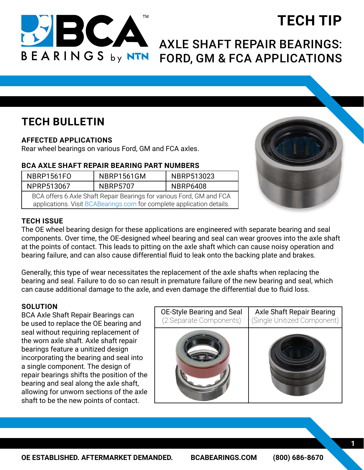

# **TECH TIP**

## AXLE SHAFT REPAIR BEARINGS: FORD, GM & FCA APPLICATIONS

### **TECH BULLETIN**

#### **AFFECTED APPLICATIONS**

Rear wheel bearings on various Ford, GM and FCA axles.

#### **BCA AXLE SHAFT REPAIR BEARING PART NUMBERS**

| NBRP1561FO                                                                                                                                  | NBRP1561GM      | NBRP513023      |
|---------------------------------------------------------------------------------------------------------------------------------------------|-----------------|-----------------|
| NPRP513067                                                                                                                                  | <b>NBRP5707</b> | <b>NBRP6408</b> |
| BCA offers 6 Axle Shaft Repair Bearings for various Ford, GM and FCA<br>configationa Viait DCADeerings sem for complete enpliestion details |                 |                 |

applications. Visit [BCABearings.com](https://bcabearings.com/catalog/search/) for complete application details.



#### **TECH ISSUE**

The OE wheel bearing design for these applications are engineered with separate bearing and seal components. Over time, the OE-designed wheel bearing and seal can wear grooves into the axle shaft at the points of contact. This leads to pitting on the axle shaft which can cause noisy operation and bearing failure, and can also cause differential fluid to leak onto the backing plate and brakes.

Generally, this type of wear necessitates the replacement of the axle shafts when replacing the bearing and seal. Failure to do so can result in premature failure of the new bearing and seal, which can cause additional damage to the axle, and even damage the differential due to fluid loss.

#### **SOLUTION**

BCA Axle Shaft Repair Bearings can be used to replace the OE bearing and seal without requiring replacement of the worn axle shaft. Axle shaft repair bearings feature a unitized design incorporating the bearing and seal into a single component. The design of repair bearings shifts the position of the bearing and seal along the axle shaft, allowing for unworn sections of the axle shaft to be the new points of contact.